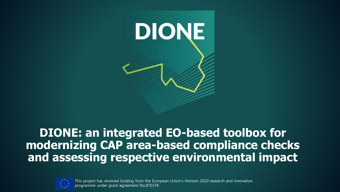

#### **DIONE: an integrated EO-based toolbox for modernizing CAP area-based compliance checks and assessing respective environmental impact**



This project has received funding from the European Union's Horizon 2020 research and innovation programme under grant agreement No.870378 .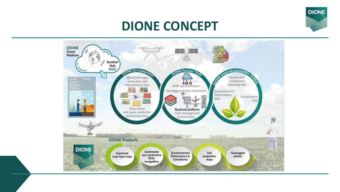

### **DIONE CONCEPT**

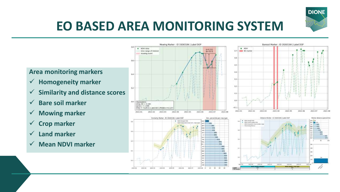

## **EO BASED AREA MONITORING SYSTEM**

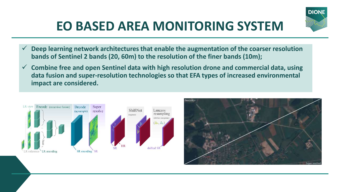# **EO BASED AREA MONITORING SYSTEM**



✓ **Combine free and open Sentinel data with high resolution drone and commercial data, using data fusion and super-resolution technologies so that EFA types of increased environmental impact are considered.**





**DIONE**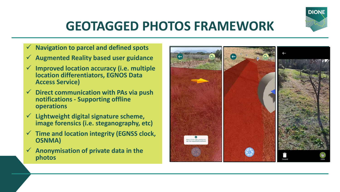

# **GEOTAGGED PHOTOS FRAMEWORK**

- ✓ **Navigation to parcel and defined spots**
- ✓ **Augmented Reality based user guidance**
- ✓ **Improved location accuracy (i.e. multiple location differentiators, EGNOS Data Access Service)**
- ✓ **Direct communication with PAs via push notifications - Supporting offline operations**
- ✓ **Lightweight digital signature scheme, image forensics (i.e. steganography, etc)**
- ✓ **Time and location integrity (EGNSS clock, OSNMA)**
- ✓ **Anonymisation of private data in the photos**

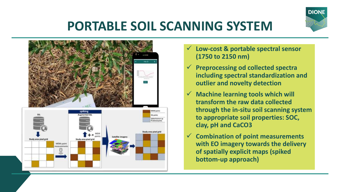

# **PORTABLE SOIL SCANNING SYSTEM**



- ✓ **Low-cost & portable spectral sensor (1750 to 2150 nm)**
- ✓ **Preprocessing od collected spectra including spectral standardization and outlier and novelty detection**
- ✓ **Machine learning tools which will transform the raw data collected through the in-situ soil scanning system to appropriate soil properties: SOC, clay, pH and CaCO3**
- ✓ **Combination of point measurements with EO imagery towards the delivery of spatially explicit maps (spiked bottom-up approach)**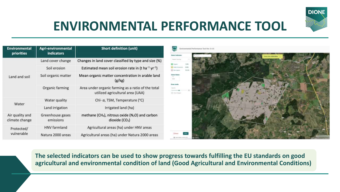

## **ENVIRONMENTAL PERFORMANCE TOOL**

| <b>Environmental</b><br>priorities | <b>Agri-environmental</b><br><b>indicators</b> | <b>Short definition (unit)</b>                                                                        |
|------------------------------------|------------------------------------------------|-------------------------------------------------------------------------------------------------------|
| Land and soil                      | Land cover change                              | Changes in land cover classified by type and size (%)                                                 |
|                                    | Soil erosion                                   | Estimated mean soil erosion rate in (t ha <sup>-1</sup> yr <sup>-1</sup> )                            |
|                                    | Soil organic matter                            | Mean organic matter concentration in arable land<br>(g/kg)                                            |
|                                    | Organic farming                                | Area under organic farming as a ratio of the total<br>utilized agricultural area (UAA)                |
| Water                              | Water quality                                  | Chl- $\alpha$ , TSM, Temperature (°C)                                                                 |
|                                    | Land irrigation                                | Irrigated land (ha)                                                                                   |
| Air quality and<br>climate change  | Greenhouse gases<br>emissions                  | methane (CH <sub>4</sub> ), nitrous oxide (N <sub>2</sub> O) and carbon<br>dioxide (CO <sub>2</sub> ) |
| Protected/<br>vulnerable           | <b>HNV</b> farmland                            | Agricultural areas (ha) under HNV areas                                                               |
|                                    | Natura 2000 areas                              | Agricultural areas (ha) under Natura 2000 areas                                                       |



**The selected indicators can be used to show progress towards fulfilling the EU standards on good agricultural and environmental condition of land (Good Agricultural and Environmental Conditions)**